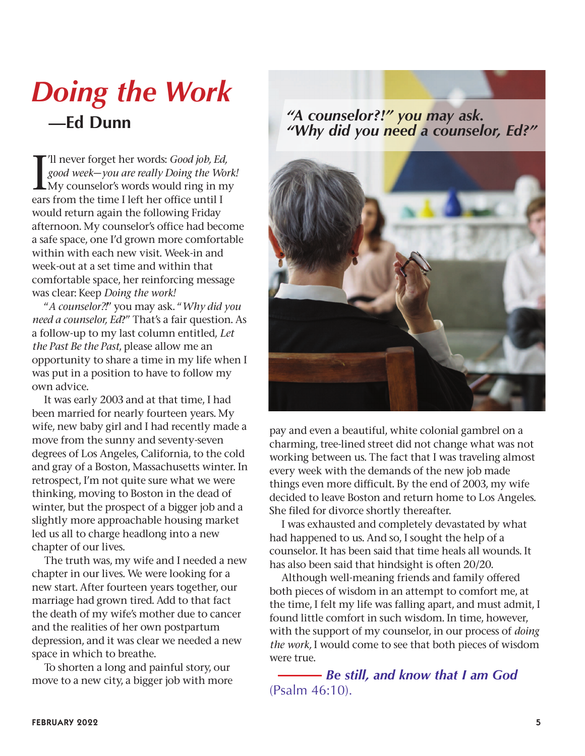## *Doing the Work* **—Ed Dunn** *"A counselor?!" you may ask.*

I'll never forget her words: *Good job, Ed,*<br>*good week-you are really Doing the Work*<br>My counselor's words would ring in my 'll never forget her words: *Good job, Ed, good week*—*you are really Doing the Work!* ears from the time I left her office until I would return again the following Friday afternoon. My counselor's office had become a safe space, one I'd grown more comfortable within with each new visit. Week-in and week-out at a set time and within that comfortable space, her reinforcing message was clear: Keep *Doing the work!* 

"*A counselor?!*" you may ask. "*Why did you need a counselor, Ed*?" That's a fair question. As a follow-up to my last column entitled, *Let the Past Be the Past*, please allow me an opportunity to share a time in my life when I was put in a position to have to follow my own advice.

It was early 2003 and at that time, I had been married for nearly fourteen years. My wife, new baby girl and I had recently made a move from the sunny and seventy-seven degrees of Los Angeles, California, to the cold and gray of a Boston, Massachusetts winter. In retrospect, I'm not quite sure what we were thinking, moving to Boston in the dead of winter, but the prospect of a bigger job and a slightly more approachable housing market led us all to charge headlong into a new chapter of our lives.

The truth was, my wife and I needed a new chapter in our lives. We were looking for a new start. After fourteen years together, our marriage had grown tired. Add to that fact the death of my wife's mother due to cancer and the realities of her own postpartum depression, and it was clear we needed a new space in which to breathe.

To shorten a long and painful story, our move to a new city, a bigger job with more

## *"Why did you need a counselor, Ed?"*



pay and even a beautiful, white colonial gambrel on a charming, tree-lined street did not change what was not working between us. The fact that I was traveling almost every week with the demands of the new job made things even more difficult. By the end of 2003, my wife decided to leave Boston and return home to Los Angeles. She filed for divorce shortly thereafter.

I was exhausted and completely devastated by what had happened to us. And so, I sought the help of a counselor. It has been said that time heals all wounds. It has also been said that hindsight is often 20/20.

Although well-meaning friends and family offered both pieces of wisdom in an attempt to comfort me, at the time, I felt my life was falling apart, and must admit, I found little comfort in such wisdom. In time, however, with the support of my counselor, in our process of *doing the work,* I would come to see that both pieces of wisdom were true.

 *Be still, and know that I am God*  $(Psalm 46:10)$